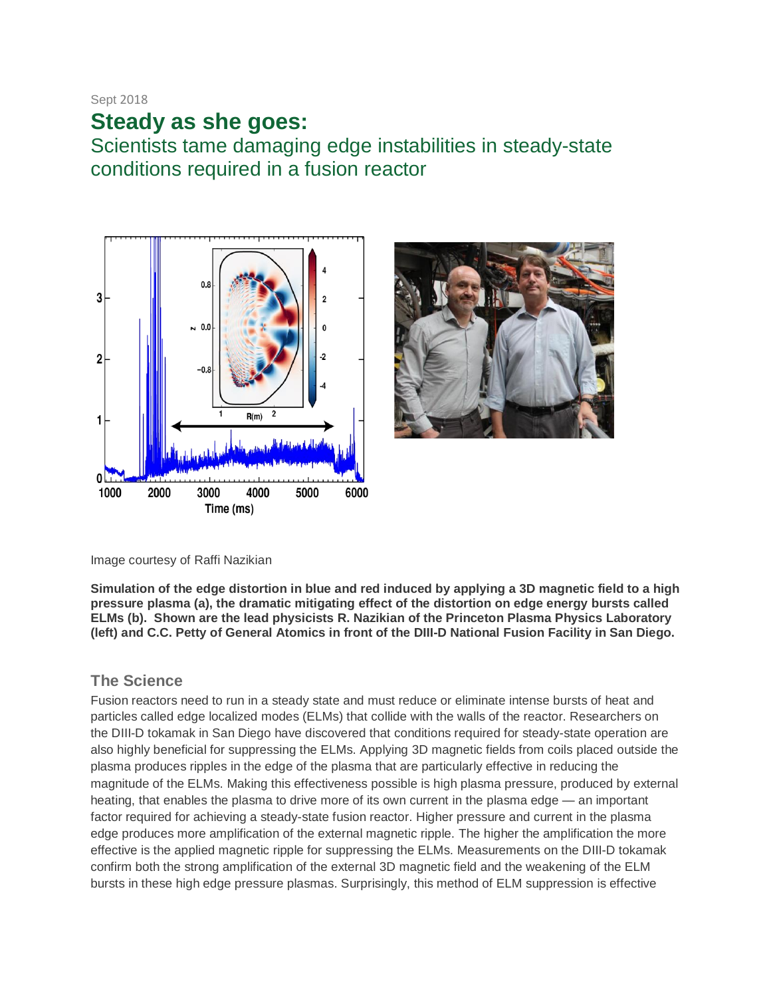Sept 2018

# **Steady as she goes:**

Scientists tame damaging edge instabilities in steady-state conditions required in a fusion reactor





Image courtesy of Raffi Nazikian

**Simulation of the edge distortion in blue and red induced by applying a 3D magnetic field to a high pressure plasma (a), the dramatic mitigating effect of the distortion on edge energy bursts called ELMs (b). Shown are the lead physicists R. Nazikian of the Princeton Plasma Physics Laboratory (left) and C.C. Petty of General Atomics in front of the DIII-D National Fusion Facility in San Diego.** 

#### **The Science**

Fusion reactors need to run in a steady state and must reduce or eliminate intense bursts of heat and particles called edge localized modes (ELMs) that collide with the walls of the reactor. Researchers on the DIII-D tokamak in San Diego have discovered that conditions required for steady-state operation are also highly beneficial for suppressing the ELMs. Applying 3D magnetic fields from coils placed outside the plasma produces ripples in the edge of the plasma that are particularly effective in reducing the magnitude of the ELMs. Making this effectiveness possible is high plasma pressure, produced by external heating, that enables the plasma to drive more of its own current in the plasma edge — an important factor required for achieving a steady-state fusion reactor. Higher pressure and current in the plasma edge produces more amplification of the external magnetic ripple. The higher the amplification the more effective is the applied magnetic ripple for suppressing the ELMs. Measurements on the DIII-D tokamak confirm both the strong amplification of the external 3D magnetic field and the weakening of the ELM bursts in these high edge pressure plasmas. Surprisingly, this method of ELM suppression is effective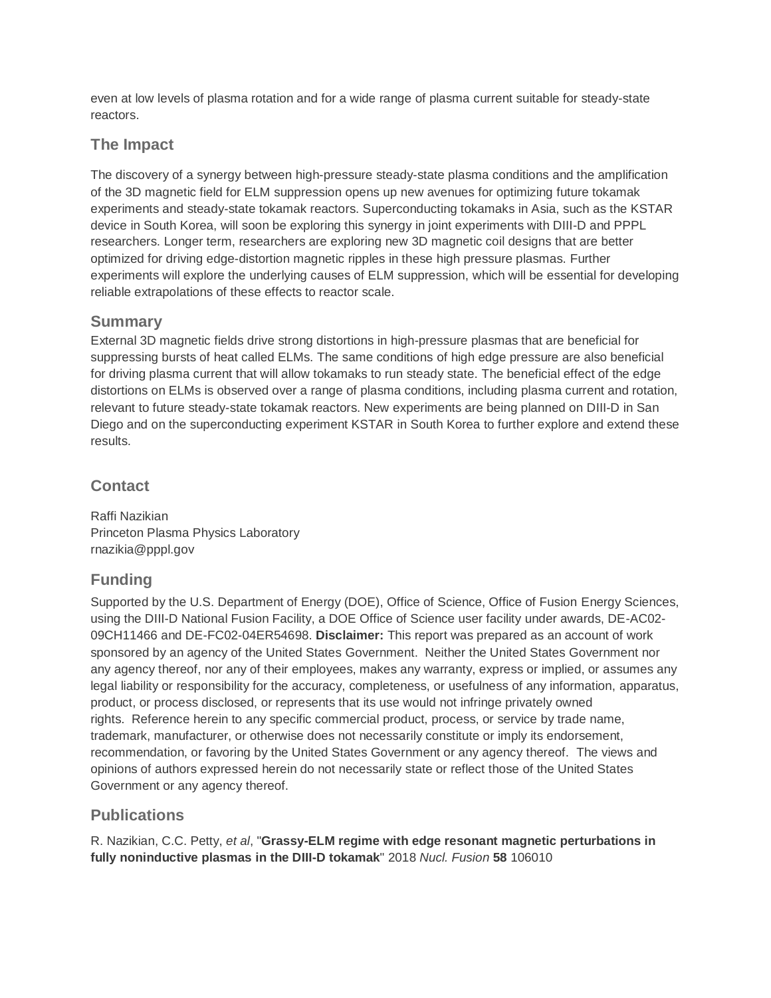even at low levels of plasma rotation and for a wide range of plasma current suitable for steady-state reactors.

#### **The Impact**

The discovery of a synergy between high-pressure steady-state plasma conditions and the amplification of the 3D magnetic field for ELM suppression opens up new avenues for optimizing future tokamak experiments and steady-state tokamak reactors. Superconducting tokamaks in Asia, such as the KSTAR device in South Korea, will soon be exploring this synergy in joint experiments with DIII-D and PPPL researchers. Longer term, researchers are exploring new 3D magnetic coil designs that are better optimized for driving edge-distortion magnetic ripples in these high pressure plasmas. Further experiments will explore the underlying causes of ELM suppression, which will be essential for developing reliable extrapolations of these effects to reactor scale.

#### **Summary**

External 3D magnetic fields drive strong distortions in high-pressure plasmas that are beneficial for suppressing bursts of heat called ELMs. The same conditions of high edge pressure are also beneficial for driving plasma current that will allow tokamaks to run steady state. The beneficial effect of the edge distortions on ELMs is observed over a range of plasma conditions, including plasma current and rotation, relevant to future steady-state tokamak reactors. New experiments are being planned on DIII-D in San Diego and on the superconducting experiment KSTAR in South Korea to further explore and extend these results.

# **Contact**

Raffi Nazikian Princeton Plasma Physics Laboratory rnazikia@pppl.gov

# **Funding**

Supported by the U.S. Department of Energy (DOE), Office of Science, Office of Fusion Energy Sciences, using the DIII-D National Fusion Facility, a DOE Office of Science user facility under awards, DE-AC02- 09CH11466 and DE-FC02-04ER54698. **Disclaimer:** This report was prepared as an account of work sponsored by an agency of the United States Government. Neither the United States Government nor any agency thereof, nor any of their employees, makes any warranty, express or implied, or assumes any legal liability or responsibility for the accuracy, completeness, or usefulness of any information, apparatus, product, or process disclosed, or represents that its use would not infringe privately owned rights. Reference herein to any specific commercial product, process, or service by trade name, trademark, manufacturer, or otherwise does not necessarily constitute or imply its endorsement, recommendation, or favoring by the United States Government or any agency thereof. The views and opinions of authors expressed herein do not necessarily state or reflect those of the United States Government or any agency thereof.

# **Publications**

R. Nazikian, C.C. Petty, *et al*, "**Grassy-ELM regime with edge resonant magnetic perturbations in fully noninductive plasmas in the DIII-D tokamak**" 2018 *Nucl. Fusion* **58** 106010